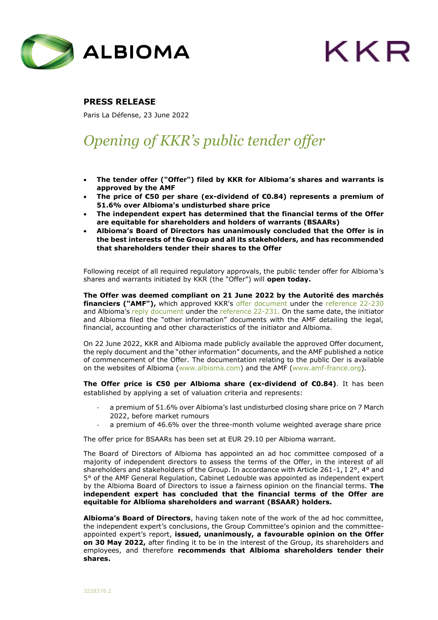

## **PRESS RELEASE**

Paris La Défense, 23 June 2022

## *Opening of KKR's public tender offer*

- **The tender offer ("Offer") filed by KKR for Albioma's shares and warrants is approved by the AMF**
- **The price of €50 per share (ex-dividend of €0.84) represents a premium of 51.6% over Albioma's undisturbed share price**
- **The independent expert has determined that the financial terms of the Offer are equitable for shareholders and holders of warrants (BSAARs)**
- **Albioma's Board of Directors has unanimously concluded that the Offer is in the best interests of the Group and all its stakeholders, and has recommended that shareholders tender their shares to the Offer**

Following receipt of all required regulatory approvals, the public tender offer for Albioma's shares and warrants initiated by KKR (the "Offer") will **open today.**

**The Offer was deemed compliant on 21 June 2022 by the Autorité des marchés financiers ("AMF"),** which approved KKR's offer document under the reference 22-230 and Albioma's reply document under the reference 22-231. On the same date, the initiator and Albioma filed the "other information" documents with the AMF detailing the legal, financial, accounting and other characteristics of the initiator and Albioma.

On 22 June 2022, KKR and Albioma made publicly available the approved Offer document, the reply document and the "other information" documents, and the AMF published a notice of commencement of the Offer. The documentation relating to the public Oer is available on the websites of Albioma [\(www.albioma.com\)](http://www.albioma.com/) and the AMF [\(www.amf-france.org\)](http://www.amf-france.org/).

**The Offer price is €50 per Albioma share (ex-dividend of €0.84)**. It has been established by applying a set of valuation criteria and represents:

- a premium of 51.6% over Albioma's last undisturbed closing share price on 7 March 2022, before market rumours
- a premium of 46.6% over the three-month volume weighted average share price

The offer price for BSAARs has been set at EUR 29.10 per Albioma warrant.

The Board of Directors of Albioma has appointed an ad hoc committee composed of a majority of independent directors to assess the terms of the Offer, in the interest of all shareholders and stakeholders of the Group. In accordance with Article 261-1, I 2°, 4° and 5° of the AMF General Regulation, Cabinet Ledouble was appointed as independent expert by the Albioma Board of Directors to issue a fairness opinion on the financial terms. **The independent expert has concluded that the financial terms of the Offer are equitable for Alblioma shareholders and warrant (BSAAR) holders.**

**Albioma's Board of Directors**, having taken note of the work of the ad hoc committee, the independent expert's conclusions, the Group Committee's opinion and the committeeappointed expert's report, **issued, unanimously, a favourable opinion on the Offer on 30 May 2022,** after finding it to be in the interest of the Group, its shareholders and employees, and therefore **recommends that Albioma shareholders tender their shares.**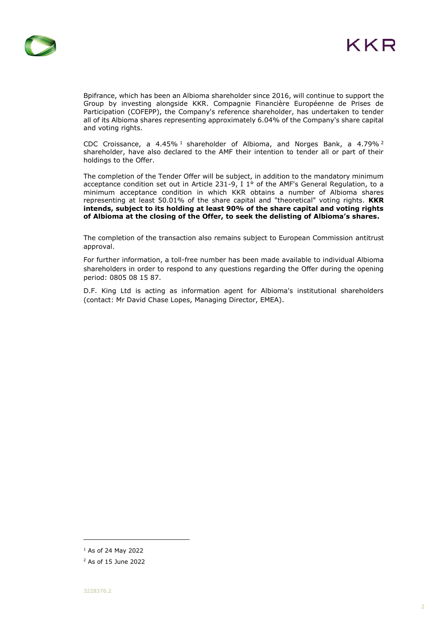

Bpifrance, which has been an Albioma shareholder since 2016, will continue to support the Group by investing alongside KKR. Compagnie Financière Européenne de Prises de Participation (COFEPP), the Company's reference shareholder, has undertaken to tender all of its Albioma shares representing approximately 6.04% of the Company's share capital and voting rights.

CDC Croissance, a  $4.45\%$ <sup>1</sup> shareholder of Albioma, and Norges Bank, a  $4.79\%$ <sup>2</sup> shareholder, have also declared to the AMF their intention to tender all or part of their holdings to the Offer.

The completion of the Tender Offer will be subject, in addition to the mandatory minimum acceptance condition set out in Article 231-9, I 1° of the AMF's General Regulation, to a minimum acceptance condition in which KKR obtains a number of Albioma shares representing at least 50.01% of the share capital and "theoretical" voting rights. **KKR intends, subject to its holding at least 90% of the share capital and voting rights of Albioma at the closing of the Offer, to seek the delisting of Albioma's shares.**

The completion of the transaction also remains subject to European Commission antitrust approval.

For further information, a toll-free number has been made available to individual Albioma shareholders in order to respond to any questions regarding the Offer during the opening period: 0805 08 15 87.

D.F. King Ltd is acting as information agent for Albioma's institutional shareholders (contact: Mr David Chase Lopes, Managing Director, EMEA).

<sup>1</sup> As of 24 May 2022

<sup>2</sup> As of 15 June 2022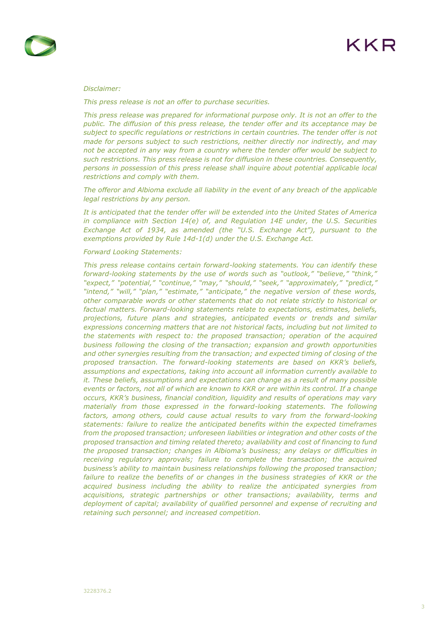



## *Disclaimer:*

*This press release is not an offer to purchase securities.* 

*This press release was prepared for informational purpose only. It is not an offer to the public. The diffusion of this press release, the tender offer and its acceptance may be subject to specific regulations or restrictions in certain countries. The tender offer is not made for persons subject to such restrictions, neither directly nor indirectly, and may not be accepted in any way from a country where the tender offer would be subject to such restrictions. This press release is not for diffusion in these countries. Consequently, persons in possession of this press release shall inquire about potential applicable local restrictions and comply with them.* 

*The offeror and Albioma exclude all liability in the event of any breach of the applicable legal restrictions by any person.*

*It is anticipated that the tender offer will be extended into the United States of America in compliance with Section 14(e) of, and Regulation 14E under, the U.S. Securities Exchange Act of 1934, as amended (the "U.S. Exchange Act"), pursuant to the exemptions provided by Rule 14d-1(d) under the U.S. Exchange Act.*

## *Forward Looking Statements:*

*This press release contains certain forward-looking statements. You can identify these forward-looking statements by the use of words such as "outlook," "believe," "think," "expect," "potential," "continue," "may," "should," "seek," "approximately," "predict," "intend," "will," "plan," "estimate," "anticipate," the negative version of these words, other comparable words or other statements that do not relate strictly to historical or factual matters. Forward-looking statements relate to expectations, estimates, beliefs, projections, future plans and strategies, anticipated events or trends and similar expressions concerning matters that are not historical facts, including but not limited to the statements with respect to: the proposed transaction; operation of the acquired business following the closing of the transaction; expansion and growth opportunities and other synergies resulting from the transaction; and expected timing of closing of the proposed transaction. The forward-looking statements are based on KKR's beliefs, assumptions and expectations, taking into account all information currently available to it. These beliefs, assumptions and expectations can change as a result of many possible events or factors, not all of which are known to KKR or are within its control. If a change occurs, KKR's business, financial condition, liquidity and results of operations may vary materially from those expressed in the forward-looking statements. The following*  factors, among others, could cause actual results to vary from the forward-looking *statements: failure to realize the anticipated benefits within the expected timeframes from the proposed transaction; unforeseen liabilities or integration and other costs of the proposed transaction and timing related thereto; availability and cost of financing to fund the proposed transaction; changes in Albioma's business; any delays or difficulties in receiving regulatory approvals; failure to complete the transaction; the acquired business's ability to maintain business relationships following the proposed transaction;*  failure to realize the benefits of or changes in the business strategies of KKR or the *acquired business including the ability to realize the anticipated synergies from acquisitions, strategic partnerships or other transactions; availability, terms and deployment of capital; availability of qualified personnel and expense of recruiting and retaining such personnel; and increased competition.*